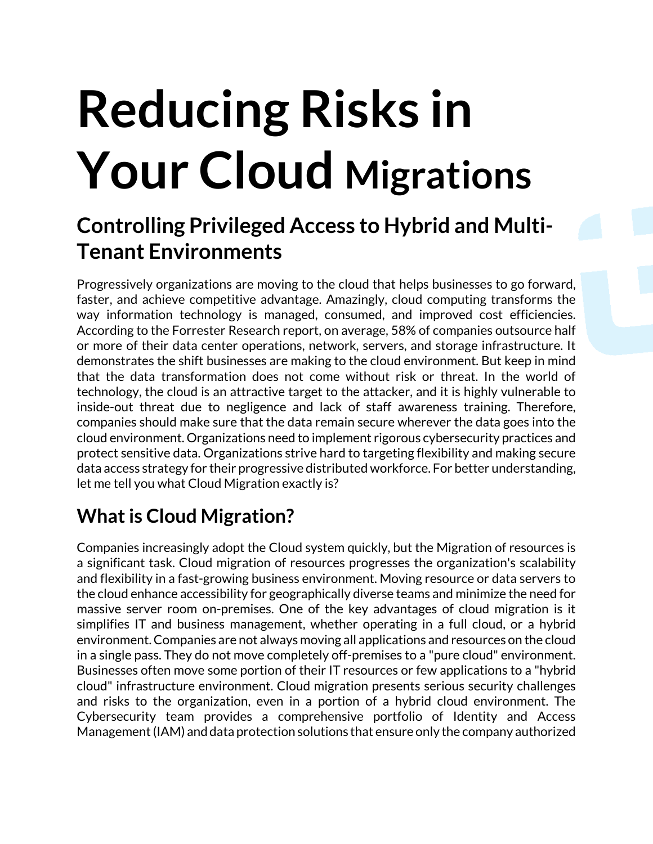# **Reducing Risks in Your Cloud Migrations**

# **Controlling Privileged Access to Hybrid and Multi-Tenant Environments**

Progressively organizations are moving to the cloud that helps businesses to go forward, faster, and achieve competitive advantage. Amazingly, cloud computing transforms the way information technology is managed, consumed, and improved cost efficiencies. According to the Forrester Research report, on average, 58% of companies outsource half or more of their data center operations, network, servers, and storage infrastructure. It demonstrates the shift businesses are making to the cloud environment. But keep in mind that the data transformation does not come without risk or threat. In the world of technology, the cloud is an attractive target to the attacker, and it is highly vulnerable to inside-out threat due to negligence and lack of staff awareness training. Therefore, companies should make sure that the data remain secure wherever the data goes into the cloud environment. Organizations need to implement rigorous cybersecurity practices and protect sensitive data. Organizations strive hard to targeting flexibility and making secure data access strategy for their progressive distributed workforce. For better understanding, let me tell you what Cloud Migration exactly is?

### **What is Cloud Migration?**

Companies increasingly adopt the Cloud system quickly, but the Migration of resources is a significant task. Cloud migration of resources progresses the organization's scalability and flexibility in a fast-growing business environment. Moving resource or data servers to the cloud enhance accessibility for geographically diverse teams and minimize the need for massive server room on-premises. One of the key advantages of cloud migration is it simplifies IT and business management, whether operating in a full cloud, or a hybrid environment. Companies are not always moving all applications and resources on the cloud in a single pass. They do not move completely off-premises to a "pure cloud" environment. Businesses often move some portion of their IT resources or few applications to a "hybrid cloud" infrastructure environment. Cloud migration presents serious security challenges and risks to the organization, even in a portion of a hybrid cloud environment. The Cybersecurity team provides a comprehensive portfolio of Identity and Access Management (IAM) and data protection solutions that ensure only the company authorized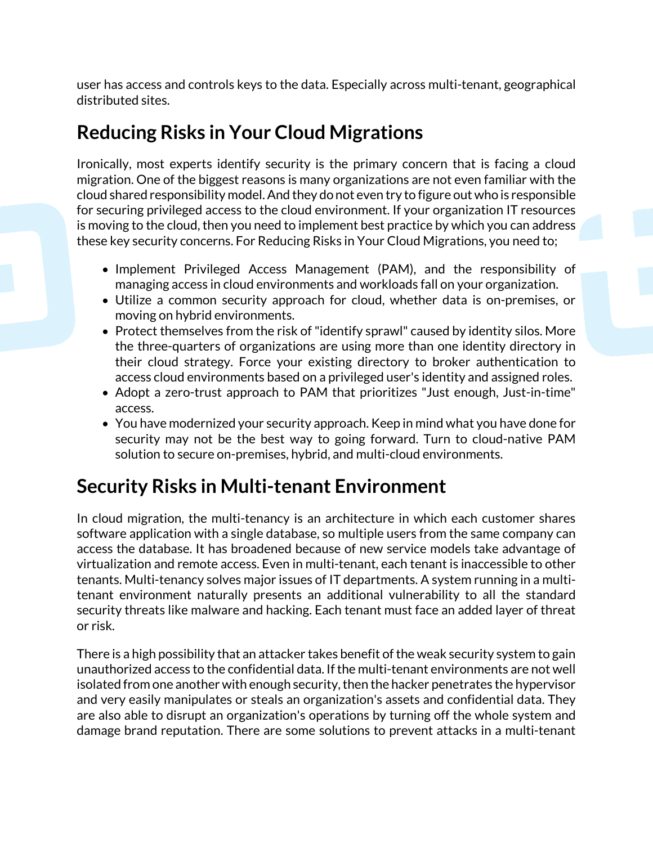user has access and controls keys to the data. Especially across multi-tenant, geographical distributed sites.

#### **Reducing Risks in Your Cloud Migrations**

Ironically, most experts identify security is the primary concern that is facing a cloud migration. One of the biggest reasons is many organizations are not even familiar with the cloud shared responsibility model. And they do not even try to figure out who is responsible for securing privileged access to the cloud environment. If your organization IT resources is moving to the cloud, then you need to implement best practice by which you can address these key security concerns. For Reducing Risks in Your Cloud Migrations, you need to;

- Implement Privileged Access Management (PAM), and the responsibility of managing access in cloud environments and workloads fall on your organization.
- Utilize a common security approach for cloud, whether data is on-premises, or moving on hybrid environments.
- Protect themselves from the risk of "identify sprawl" caused by identity silos. More the three-quarters of organizations are using more than one identity directory in their cloud strategy. Force your existing directory to broker authentication to access cloud environments based on a privileged user's identity and assigned roles.
- Adopt a zero-trust approach to PAM that prioritizes "Just enough, Just-in-time" access.
- You have modernized your security approach. Keep in mind what you have done for security may not be the best way to going forward. Turn to cloud-native PAM solution to secure on-premises, hybrid, and multi-cloud environments.

#### **Security Risks in Multi-tenant Environment**

In cloud migration, the multi-tenancy is an architecture in which each customer shares software application with a single database, so multiple users from the same company can access the database. It has broadened because of new service models take advantage of virtualization and remote access. Even in multi-tenant, each tenant is inaccessible to other tenants. Multi-tenancy solves major issues of IT departments. A system running in a multitenant environment naturally presents an additional vulnerability to all the standard security threats like malware and hacking. Each tenant must face an added layer of threat or risk.

There is a high possibility that an attacker takes benefit of the weak security system to gain unauthorized access to the confidential data. If the multi-tenant environments are not well isolated from one another with enough security, then the hacker penetrates the hypervisor and very easily manipulates or steals an organization's assets and confidential data. They are also able to disrupt an organization's operations by turning off the whole system and damage brand reputation. There are some solutions to prevent attacks in a multi-tenant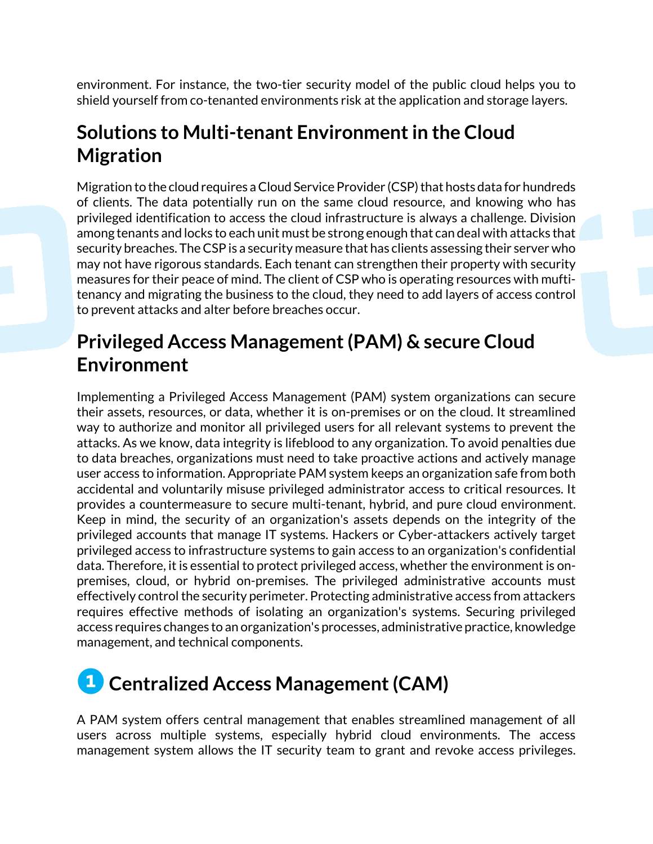environment. For instance, the two-tier security model of the public cloud helps you to shield yourself from co-tenanted environments risk at the application and storage layers.

#### **Solutions to Multi-tenant Environment in the Cloud Migration**

Migration to the cloud requires a Cloud Service Provider (CSP) that hosts data for hundreds of clients. The data potentially run on the same cloud resource, and knowing who has privileged identification to access the cloud infrastructure is always a challenge. Division among tenants and locks to each unit must be strong enough that can deal with attacks that security breaches. The CSP is a security measure that has clients assessing their server who may not have rigorous standards. Each tenant can strengthen their property with security measures for their peace of mind. The client of CSP who is operating resources with muftitenancy and migrating the business to the cloud, they need to add layers of access control to prevent attacks and alter before breaches occur.

#### **Privileged Access Management (PAM) & secure Cloud Environment**

Implementing a Privileged Access Management (PAM) system organizations can secure their assets, resources, or data, whether it is on-premises or on the cloud. It streamlined way to authorize and monitor all privileged users for all relevant systems to prevent the attacks. As we know, data integrity is lifeblood to any organization. To avoid penalties due to data breaches, organizations must need to take proactive actions and actively manage user access to information. Appropriate PAM system keeps an organization safe from both accidental and voluntarily misuse privileged administrator access to critical resources. It provides a countermeasure to secure multi-tenant, hybrid, and pure cloud environment. Keep in mind, the security of an organization's assets depends on the integrity of the privileged accounts that manage IT systems. Hackers or Cyber-attackers actively target privileged access to infrastructure systems to gain access to an organization's confidential data. Therefore, it is essential to protect privileged access, whether the environment is onpremises, cloud, or hybrid on-premises. The privileged administrative accounts must effectively control the security perimeter. Protecting administrative access from attackers requires effective methods of isolating an organization's systems. Securing privileged access requires changes to an organization's processes, administrative practice, knowledge management, and technical components.

# **<sup>1</sup>** Centralized Access Management (CAM)

A PAM system offers central management that enables streamlined management of all users across multiple systems, especially hybrid cloud environments. The access management system allows the IT security team to grant and revoke access privileges.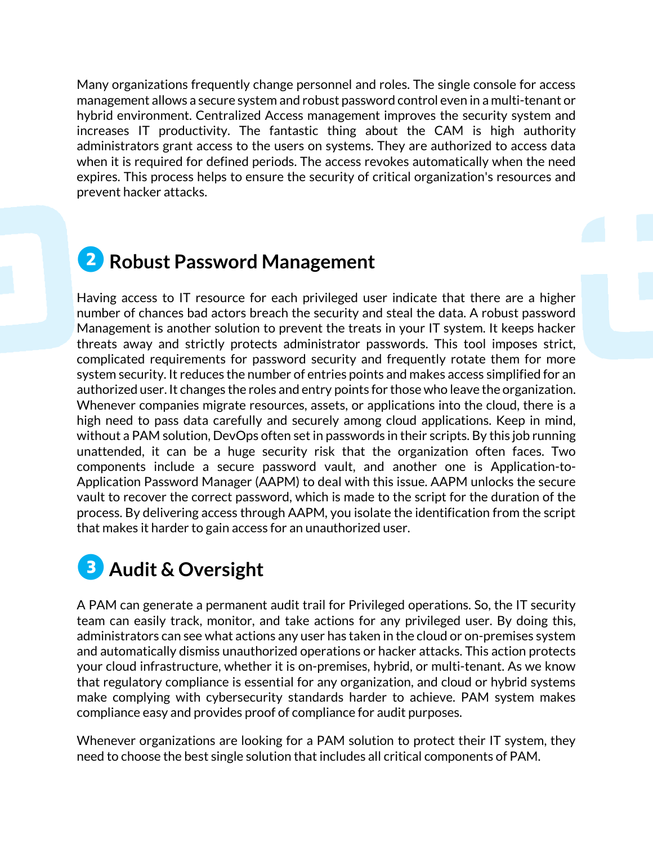Many organizations frequently change personnel and roles. The single console for access management allows a secure system and robust password control even in a multi-tenant or hybrid environment. Centralized Access management improves the security system and increases IT productivity. The fantastic thing about the CAM is high authority administrators grant access to the users on systems. They are authorized to access data when it is required for defined periods. The access revokes automatically when the need expires. This process helps to ensure the security of critical organization's resources and prevent hacker attacks.

# **❷Robust Password Management**

Having access to IT resource for each privileged user indicate that there are a higher number of chances bad actors breach the security and steal the data. A robust password Management is another solution to prevent the treats in your IT system. It keeps hacker threats away and strictly protects administrator passwords. This tool imposes strict, complicated requirements for password security and frequently rotate them for more system security. It reduces the number of entries points and makes access simplified for an authorized user. It changes the roles and entry points for those who leave the organization. Whenever companies migrate resources, assets, or applications into the cloud, there is a high need to pass data carefully and securely among cloud applications. Keep in mind, without a PAM solution, DevOps often set in passwords in their scripts. By this job running unattended, it can be a huge security risk that the organization often faces. Two components include a secure password vault, and another one is Application-to-Application Password Manager (AAPM) to deal with this issue. AAPM unlocks the secure vault to recover the correct password, which is made to the script for the duration of the process. By delivering access through AAPM, you isolate the identification from the script that makes it harder to gain access for an unauthorized user.

# **❸ Audit & Oversight**

A PAM can generate a permanent audit trail for Privileged operations. So, the IT security team can easily track, monitor, and take actions for any privileged user. By doing this, administrators can see what actions any user has taken in the cloud or on-premises system and automatically dismiss unauthorized operations or hacker attacks. This action protects your cloud infrastructure, whether it is on-premises, hybrid, or multi-tenant. As we know that regulatory compliance is essential for any organization, and cloud or hybrid systems make complying with cybersecurity standards harder to achieve. PAM system makes compliance easy and provides proof of compliance for audit purposes.

Whenever organizations are looking for a PAM solution to protect their IT system, they need to choose the best single solution that includes all critical components of PAM.